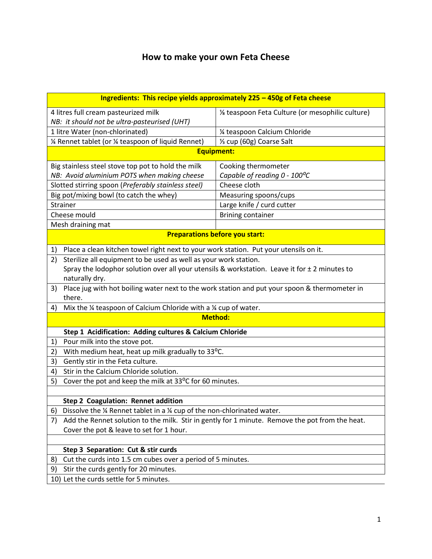# **How to make your own Feta Cheese**

| Ingredients: This recipe yields approximately 225 - 450g of Feta cheese                               |                                                 |
|-------------------------------------------------------------------------------------------------------|-------------------------------------------------|
| 4 litres full cream pasteurized milk                                                                  | % teaspoon Feta Culture (or mesophilic culture) |
| NB: it should not be ultra-pasteurised (UHT)                                                          |                                                 |
| 1 litre Water (non-chlorinated)                                                                       | 1/4 teaspoon Calcium Chloride                   |
| 1⁄4 Rennet tablet (or 1⁄4 teaspoon of liquid Rennet)                                                  | 1/3 cup (60g) Coarse Salt                       |
| <b>Equipment:</b>                                                                                     |                                                 |
| Big stainless steel stove top pot to hold the milk                                                    | Cooking thermometer                             |
| NB: Avoid aluminium POTS when making cheese                                                           | Capable of reading 0 - 100°C                    |
| Slotted stirring spoon (Preferably stainless steel)                                                   | Cheese cloth                                    |
| Big pot/mixing bowl (to catch the whey)                                                               | Measuring spoons/cups                           |
| Strainer                                                                                              | Large knife / curd cutter                       |
| Cheese mould                                                                                          | <b>Brining container</b>                        |
| Mesh draining mat                                                                                     |                                                 |
| <b>Preparations before you start:</b>                                                                 |                                                 |
| Place a clean kitchen towel right next to your work station. Put your utensils on it.<br>1)           |                                                 |
| Sterilize all equipment to be used as well as your work station.<br>2)                                |                                                 |
| Spray the lodophor solution over all your utensils & workstation. Leave it for $\pm 2$ minutes to     |                                                 |
| naturally dry.                                                                                        |                                                 |
| Place jug with hot boiling water next to the work station and put your spoon & thermometer in<br>3)   |                                                 |
| there.                                                                                                |                                                 |
| Mix the 1/4 teaspoon of Calcium Chloride with a 1/4 cup of water.<br>4)                               |                                                 |
| <b>Method:</b>                                                                                        |                                                 |
| Step 1 Acidification: Adding cultures & Calcium Chloride                                              |                                                 |
| Pour milk into the stove pot.<br>1)                                                                   |                                                 |
| With medium heat, heat up milk gradually to 33°C.<br>2)                                               |                                                 |
| Gently stir in the Feta culture.<br>3)                                                                |                                                 |
| Stir in the Calcium Chloride solution.<br>4)                                                          |                                                 |
| Cover the pot and keep the milk at 33°C for 60 minutes.<br>5)                                         |                                                 |
|                                                                                                       |                                                 |
| Step 2 Coagulation: Rennet addition                                                                   |                                                 |
| Dissolve the 1⁄4 Rennet tablet in a 1⁄4 cup of the non-chlorinated water.<br>6)                       |                                                 |
| Add the Rennet solution to the milk. Stir in gently for 1 minute. Remove the pot from the heat.<br>7) |                                                 |
| Cover the pot & leave to set for 1 hour.                                                              |                                                 |
|                                                                                                       |                                                 |
| Step 3 Separation: Cut & stir curds                                                                   |                                                 |
| Cut the curds into 1.5 cm cubes over a period of 5 minutes.<br>8)                                     |                                                 |
| Stir the curds gently for 20 minutes.<br>9)                                                           |                                                 |
| 10) Let the curds settle for 5 minutes.                                                               |                                                 |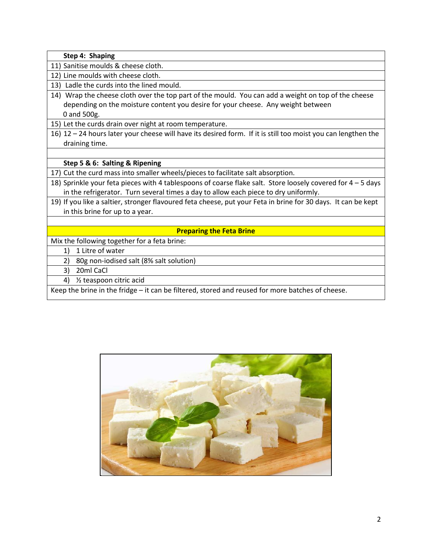| Step 4: Shaping                                                                                               |  |
|---------------------------------------------------------------------------------------------------------------|--|
| 11) Sanitise moulds & cheese cloth.                                                                           |  |
| 12) Line moulds with cheese cloth.                                                                            |  |
| Ladle the curds into the lined mould.<br>13)                                                                  |  |
| 14) Wrap the cheese cloth over the top part of the mould. You can add a weight on top of the cheese           |  |
| depending on the moisture content you desire for your cheese. Any weight between                              |  |
| 0 and 500g.                                                                                                   |  |
| 15) Let the curds drain over night at room temperature.                                                       |  |
| 16) 12 - 24 hours later your cheese will have its desired form. If it is still too moist you can lengthen the |  |
| draining time.                                                                                                |  |
|                                                                                                               |  |
| Step 5 & 6: Salting & Ripening                                                                                |  |
| 17) Cut the curd mass into smaller wheels/pieces to facilitate salt absorption.                               |  |
| 18) Sprinkle your feta pieces with 4 tablespoons of coarse flake salt. Store loosely covered for 4 - 5 days   |  |
| in the refrigerator. Turn several times a day to allow each piece to dry uniformly.                           |  |
| 19) If you like a saltier, stronger flavoured feta cheese, put your Feta in brine for 30 days. It can be kept |  |
| in this brine for up to a year.                                                                               |  |
|                                                                                                               |  |
| <b>Preparing the Feta Brine</b>                                                                               |  |
| Mix the following together for a feta brine:                                                                  |  |
| 1 Litre of water<br>1)                                                                                        |  |
| 80g non-iodised salt (8% salt solution)<br>2)                                                                 |  |
| 20ml CaCl<br>3)                                                                                               |  |
| 1/ <sub>2</sub> teaspoon citric acid<br>4)                                                                    |  |
| Keep the brine in the fridge - it can be filtered, stored and reused for more batches of cheese.              |  |

 $\Gamma$ 



┑